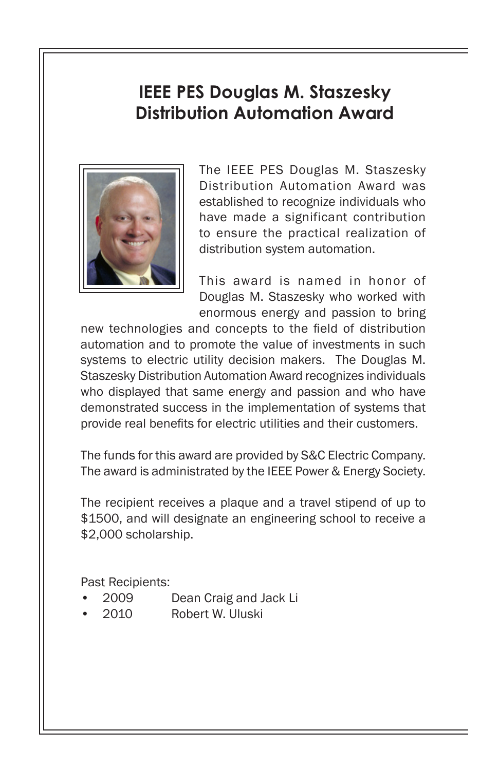## **IEEE PES Douglas M. Staszesky Distribution Automation Award**



The IEEE PES Douglas M. Staszesky Distribution Automation Award was established to recognize individuals who have made a significant contribution to ensure the practical realization of distribution system automation.

This award is named in honor of Douglas M. Staszesky who worked with enormous energy and passion to bring

new technologies and concepts to the field of distribution automation and to promote the value of investments in such systems to electric utility decision makers. The Douglas M. Staszesky Distribution Automation Award recognizes individuals who displayed that same energy and passion and who have demonstrated success in the implementation of systems that provide real benefits for electric utilities and their customers.

The funds for this award are provided by S&C Electric Company. The award is administrated by the IEEE Power & Energy Society.

The recipient receives a plaque and a travel stipend of up to \$1500, and will designate an engineering school to receive a \$2,000 scholarship.

Past Recipients:

- 2009 Dean Craig and Jack Li
- 2010 Robert W. Uluski